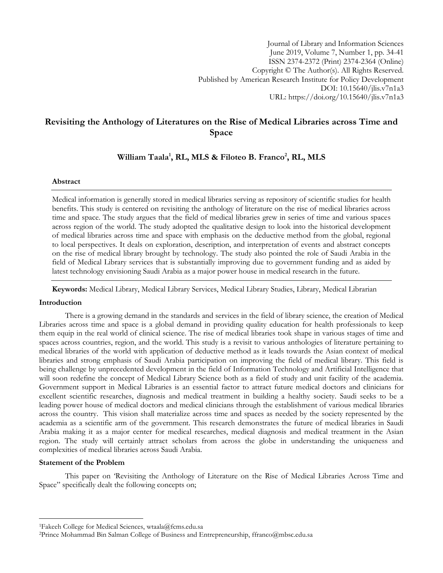# **Revisiting the Anthology of Literatures on the Rise of Medical Libraries across Time and Space**

# **William Taala<sup>1</sup> , RL, MLS & Filoteo B. Franco<sup>2</sup> , RL, MLS**

# **Abstract**

Medical information is generally stored in medical libraries serving as repository of scientific studies for health benefits. This study is centered on revisiting the anthology of literature on the rise of medical libraries across time and space. The study argues that the field of medical libraries grew in series of time and various spaces across region of the world. The study adopted the qualitative design to look into the historical development of medical libraries across time and space with emphasis on the deductive method from the global, regional to local perspectives. It deals on exploration, description, and interpretation of events and abstract concepts on the rise of medical library brought by technology. The study also pointed the role of Saudi Arabia in the field of Medical Library services that is substantially improving due to government funding and as aided by latest technology envisioning Saudi Arabia as a major power house in medical research in the future.

**Keywords:** Medical Library, Medical Library Services, Medical Library Studies, Library, Medical Librarian

# **Introduction**

There is a growing demand in the standards and services in the field of library science, the creation of Medical Libraries across time and space is a global demand in providing quality education for health professionals to keep them equip in the real world of clinical science. The rise of medical libraries took shape in various stages of time and spaces across countries, region, and the world. This study is a revisit to various anthologies of literature pertaining to medical libraries of the world with application of deductive method as it leads towards the Asian context of medical libraries and strong emphasis of Saudi Arabia participation on improving the field of medical library. This field is being challenge by unprecedented development in the field of Information Technology and Artificial Intelligence that will soon redefine the concept of Medical Library Science both as a field of study and unit facility of the academia. Government support in Medical Libraries is an essential factor to attract future medical doctors and clinicians for excellent scientific researches, diagnosis and medical treatment in building a healthy society. Saudi seeks to be a leading power house of medical doctors and medical clinicians through the establishment of various medical libraries across the country. This vision shall materialize across time and spaces as needed by the society represented by the academia as a scientific arm of the government. This research demonstrates the future of medical libraries in Saudi Arabia making it as a major center for medical researches, medical diagnosis and medical treatment in the Asian region. The study will certainly attract scholars from across the globe in understanding the uniqueness and complexities of medical libraries across Saudi Arabia.

# **Statement of the Problem**

 $\overline{a}$ 

This paper on "Revisiting the Anthology of Literature on the Rise of Medical Libraries Across Time and Space" specifically dealt the following concepts on;

<sup>1</sup>Fakeeh College for Medical Sciences, [wtaala@fcms.edu.sa](mailto:wtaala@fcms.edu.sa)

<sup>2</sup>Prince Mohammad Bin Salman College of Business and Entrepreneurship, [ffranco@mbsc.edu.sa](mailto:ffranco@mbsc.edu.sa)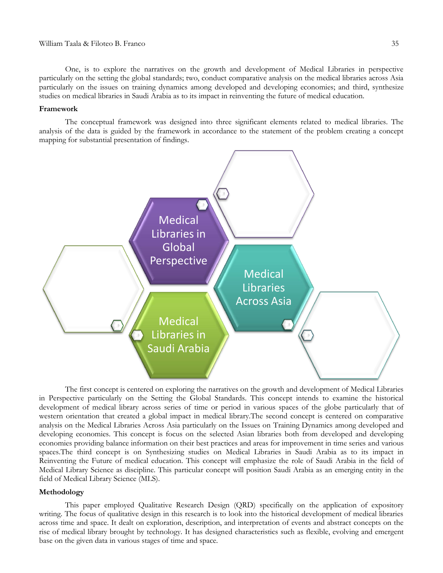One, is to explore the narratives on the growth and development of Medical Libraries in perspective particularly on the setting the global standards; two, conduct comparative analysis on the medical libraries across Asia particularly on the issues on training dynamics among developed and developing economies; and third, synthesize studies on medical libraries in Saudi Arabia as to its impact in reinventing the future of medical education.

#### **Framework**

The conceptual framework was designed into three significant elements related to medical libraries. The analysis of the data is guided by the framework in accordance to the statement of the problem creating a concept mapping for substantial presentation of findings.



The first concept is centered on exploring the narratives on the growth and development of Medical Libraries in Perspective particularly on the Setting the Global Standards. This concept intends to examine the historical development of medical library across series of time or period in various spaces of the globe particularly that of western orientation that created a global impact in medical library.The second concept is centered on comparative analysis on the Medical Libraries Across Asia particularly on the Issues on Training Dynamics among developed and developing economies. This concept is focus on the selected Asian libraries both from developed and developing economies providing balance information on their best practices and areas for improvement in time series and various spaces.The third concept is on Synthesizing studies on Medical Libraries in Saudi Arabia as to its impact in Reinventing the Future of medical education. This concept will emphasize the role of Saudi Arabia in the field of Medical Library Science as discipline. This particular concept will position Saudi Arabia as an emerging entity in the field of Medical Library Science (MLS).

## **Methodology**

This paper employed Qualitative Research Design (QRD) specifically on the application of expository writing. The focus of qualitative design in this research is to look into the historical development of medical libraries across time and space. It dealt on exploration, description, and interpretation of events and abstract concepts on the rise of medical library brought by technology. It has designed characteristics such as flexible, evolving and emergent base on the given data in various stages of time and space.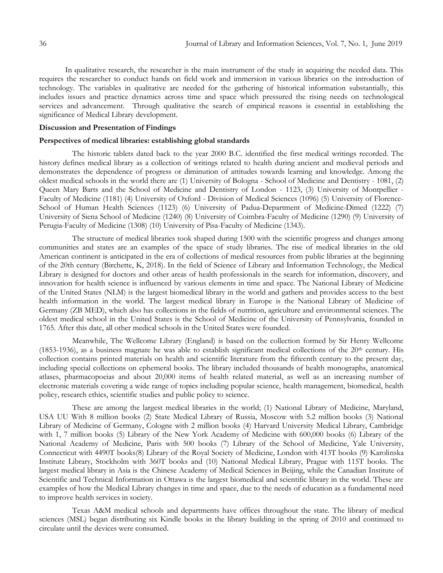In qualitative research, the researcher is the main instrument of the study in acquiring the needed data. This requires the researcher to conduct hands on field work and immersion in various libraries on the introduction of technology. The variables in qualitative are needed for the gathering of historical information substantially, this includes issues and practice dynamics across time and space which pressured the rising needs on technological services and advancement. Through qualitative the search of empirical reasons is essential in establishing the significance of Medical Library development.

### **Discussion and Presentation of Findings**

#### **Perspectives of medical libraries: establishing global standards**

The historic tablets dated back to the year 2000 B.C. identified the first medical writings recorded. The history defines medical library as a collection of writings related to health during ancient and medieval periods and demonstrates the dependence of progress or diminution of attitudes towards learning and knowledge. Among the oldest medical schools in the world there are (1) University of Bologna - School of Medicine and Dentistry - 1081, (2) Queen Mary Barts and the School of Medicine and Dentistry of London - 1123, (3) University of Montpellier - Faculty of Medicine (1181) (4) University of Oxford - Division of Medical Sciences (1096) (5) University of Florence-School of Human Health Sciences (1123) (6) University of Padua-Department of Medicine-Dimed (1222) (7) University of Siena School of Medicine (1240) (8) University of Coimbra-Faculty of Medicine (1290) (9) University of Perugia-Faculty of Medicine (1308) (10) University of Pisa-Faculty of Medicine (1343).

The structure of medical libraries took shaped during 1500 with the scientific progress and changes among communities and states are an examples of the space of study libraries. The rise of medical libraries in the old American continent is anticipated in the era of collections of medical resources from public libraries at the beginning of the 20th century (Birchette, K, 2018). In the field of Science of Library and Information Technology, the Medical Library is designed for doctors and other areas of health professionals in the search for information, discovery, and innovation for health science is influenced by various elements in time and space. The National Library of Medicine of the United States (NLM) is the largest biomedical library in the world and gathers and provides access to the best health information in the world. The largest medical library in Europe is the National Library of Medicine of Germany (ZB MED), which also has collections in the fields of nutrition, agriculture and environmental sciences. The oldest medical school in the United States is the School of Medicine of the University of Pennsylvania, founded in 1765. After this date, all other medical schools in the United States were founded.

Meanwhile, The Wellcome Library (England) is based on the collection formed by Sir Henry Wellcome (1853-1936), as a business magnate he was able to establish significant medical collections of the  $20<sup>th</sup>$  century. His collection contains printed materials on health and scientific literature from the fifteenth century to the present day, including special collections on ephemeral books. The library included thousands of health monographs, anatomical atlases, pharmacopoeias and about 20,000 items of health related material, as well as an increasing number of electronic materials covering a wide range of topics including popular science, health management, biomedical, health policy, research ethics, scientific studies and public policy to science.

These are among the largest medical libraries in the world; (1) National Library of Medicine, Maryland, USA UU With 8 million books (2) State Medical Library of Russia, Moscow with 5.2 million books (3) National Library of Medicine of Germany, Cologne with 2 million books (4) Harvard University Medical Library, Cambridge with 1, 7 million books (5) Library of the New York Academy of Medicine with 600,000 books (6) Library of the National Academy of Medicine, Paris with 500 books (7) Library of the School of Medicine, Yale University, Connecticut with 4490T books(8) Library of the Royal Society of Medicine, London with 413T books (9) Karolinska Institute Library, Stockholm with 360T books and (10) National Medical Library, Prague with 115T books. The largest medical library in Asia is the Chinese Academy of Medical Sciences in Beijing, while the Canadian Institute of Scientific and Technical Information in Ottawa is the largest biomedical and scientific library in the world. These are examples of how the Medical Library changes in time and space, due to the needs of education as a fundamental need to improve health services in society.

Texas A&M medical schools and departments have offices throughout the state. The library of medical sciences (MSL) began distributing six Kindle books in the library building in the spring of 2010 and continued to circulate until the devices were consumed.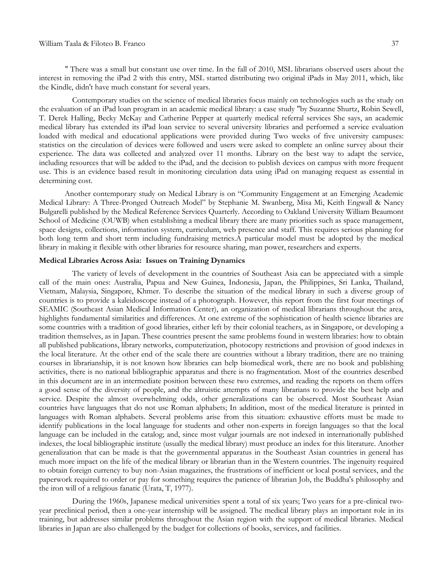'' There was a small but constant use over time. In the fall of 2010, MSL librarians observed users about the interest in removing the iPad 2 with this entry, MSL started distributing two original iPads in May 2011, which, like the Kindle, didn't have much constant for several years.

Contemporary studies on the science of medical libraries focus mainly on technologies such as the study on the evaluation of an iPad loan program in an academic medical library: a case study "by Suzanne Shurtz, Robin Sewell, T. Derek Halling, Becky McKay and Catherine Pepper at quarterly medical referral services She says, an academic medical library has extended its iPad loan service to several university libraries and performed a service evaluation loaded with medical and educational applications were provided during Two weeks of five university campuses: statistics on the circulation of devices were followed and users were asked to complete an online survey about their experience. The data was collected and analyzed over 11 months. Library on the best way to adapt the service, including resources that will be added to the iPad, and the decision to publish devices on campus with more frequent use. This is an evidence based result in monitoring circulation data using iPad on managing request as essential in determining cost.

Another contemporary study on Medical Library is on "Community Engagement at an Emerging Academic Medical Library: A Three-Pronged Outreach Model" by Stephanie M. Swanberg, Misa Mi, Keith Engwall & Nancy Bulgarelli published by the Medical Reference Services Quarterly. According to Oakland University William Beaumont School of Medicine (OUWB) when establishing a medical library there are many priorities such as space management, space designs, collections, information system, curriculum, web presence and staff. This requires serious planning for both long term and short term including fundraising metrics.A particular model must be adopted by the medical library in making it flexible with other libraries for resource sharing, man power, researchers and experts.

#### **Medical Libraries Across Asia: Issues on Training Dynamics**

The variety of levels of development in the countries of Southeast Asia can be appreciated with a simple call of the main ones: Australia, Papua and New Guinea, Indonesia, Japan, the Philippines, Sri Lanka, Thailand, Vietnam, Malaysia, Singapore, Khmer. To describe the situation of the medical library in such a diverse group of countries is to provide a kaleidoscope instead of a photograph. However, this report from the first four meetings of SEAMIC (Southeast Asian Medical Information Center), an organization of medical librarians throughout the area, highlights fundamental similarities and differences. At one extreme of the sophistication of health science libraries are some countries with a tradition of good libraries, either left by their colonial teachers, as in Singapore, or developing a tradition themselves, as in Japan. These countries present the same problems found in western libraries: how to obtain all published publications, library networks, computerization, photocopy restrictions and provision of good indexes in the local literature. At the other end of the scale there are countries without a library tradition, there are no training courses in librarianship, it is not known how libraries can help biomedical work, there are no book and publishing activities, there is no national bibliographic apparatus and there is no fragmentation. Most of the countries described in this document are in an intermediate position between these two extremes, and reading the reports on them offers a good sense of the diversity of people, and the altruistic attempts of many librarians to provide the best help and service. Despite the almost overwhelming odds, other generalizations can be observed. Most Southeast Asian countries have languages that do not use Roman alphabets; In addition, most of the medical literature is printed in languages with Roman alphabets. Several problems arise from this situation: exhaustive efforts must be made to identify publications in the local language for students and other non-experts in foreign languages so that the local language can be included in the catalog; and, since most vulgar journals are not indexed in internationally published indexes, the local bibliographic institute (usually the medical library) must produce an index for this literature. Another generalization that can be made is that the governmental apparatus in the Southeast Asian countries in general has much more impact on the life of the medical library or librarian than in the Western countries. The ingenuity required to obtain foreign currency to buy non-Asian magazines, the frustrations of inefficient or local postal services, and the paperwork required to order or pay for something requires the patience of librarian Job, the Buddha's philosophy and the iron will of a religious fanatic (Urata, T, 1977).

During the 1960s, Japanese medical universities spent a total of six years; Two years for a pre-clinical twoyear preclinical period, then a one-year internship will be assigned. The medical library plays an important role in its training, but addresses similar problems throughout the Asian region with the support of medical libraries. Medical libraries in Japan are also challenged by the budget for collections of books, services, and facilities.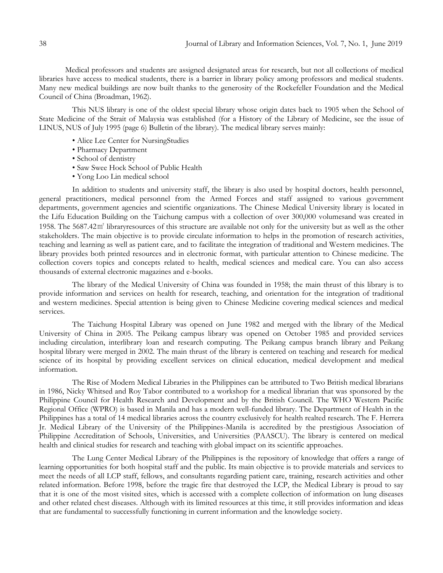Medical professors and students are assigned designated areas for research, but not all collections of medical libraries have access to medical students, there is a barrier in library policy among professors and medical students. Many new medical buildings are now built thanks to the generosity of the Rockefeller Foundation and the Medical Council of China (Broadman, 1962).

This NUS library is one of the oldest special library whose origin dates back to 1905 when the School of State Medicine of the Strait of Malaysia was established (for a History of the Library of Medicine, see the issue of LINUS, NUS of July 1995 (page 6) Bulletin of the library). The medical library serves mainly:

- Alice Lee Center for NursingStudies
- Pharmacy Department
- School of dentistry
- Saw Swee Hock School of Public Health
- Yong Loo Lin medical school

In addition to students and university staff, the library is also used by hospital doctors, health personnel, general practitioners, medical personnel from the Armed Forces and staff assigned to various government departments, government agencies and scientific organizations. The Chinese Medical University library is located in the Lifu Education Building on the Taichung campus with a collection of over 300,000 volumesand was created in 1958. The 5687.42㎡ libraryresources of this structure are available not only for the university but as well as the other stakeholders. The main objective is to provide circulate information to helps in the promotion of research activities, teaching and learning as well as patient care, and to facilitate the integration of traditional and Western medicines. The library provides both printed resources and in electronic format, with particular attention to Chinese medicine. The collection covers topics and concepts related to health, medical sciences and medical care. You can also access thousands of external electronic magazines and e-books.

The library of the Medical University of China was founded in 1958; the main thrust of this library is to provide information and services on health for research, teaching, and orientation for the integration of traditional and western medicines. Special attention is being given to Chinese Medicine covering medical sciences and medical services.

The Taichung Hospital Library was opened on June 1982 and merged with the library of the Medical University of China in 2005. The Peikang campus library was opened on October 1985 and provided services including circulation, interlibrary loan and research computing. The Peikang campus branch library and Peikang hospital library were merged in 2002. The main thrust of the library is centered on teaching and research for medical science of its hospital by providing excellent services on clinical education, medical development and medical information.

The Rise of Modern Medical Libraries in the Philippines can be attributed to Two British medical librarians in 1986, Nicky Whitsed and Roy Tabor contributed to a workshop for a medical librarian that was sponsored by the Philippine Council for Health Research and Development and by the British Council. The WHO Western Pacific Regional Office (WPRO) is based in Manila and has a modern well-funded library. The Department of Health in the Philippines has a total of 14 medical libraries across the country exclusively for health realted research. The F. Herrera Jr. Medical Library of the University of the Philippines-Manila is accredited by the prestigious Association of Philippine Accreditation of Schools, Universities, and Universities (PAASCU). The library is centered on medical health and clinical studies for research and teaching with global impact on its scientific approaches.

The Lung Center Medical Library of the Philippines is the repository of knowledge that offers a range of learning opportunities for both hospital staff and the public. Its main objective is to provide materials and services to meet the needs of all LCP staff, fellows, and consultants regarding patient care, training, research activities and other related information. Before 1998, before the tragic fire that destroyed the LCP, the Medical Library is proud to say that it is one of the most visited sites, which is accessed with a complete collection of information on lung diseases and other related chest diseases. Although with its limited resources at this time, it still provides information and ideas that are fundamental to successfully functioning in current information and the knowledge society.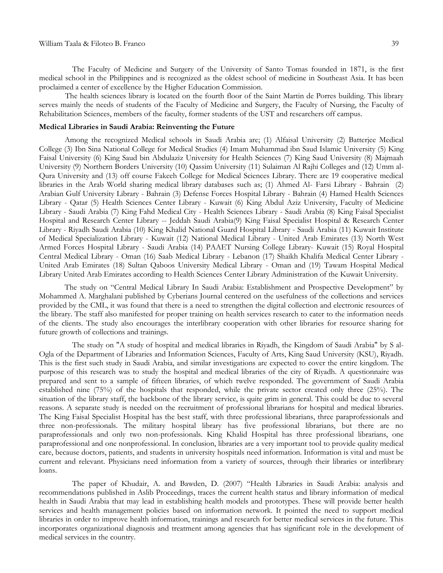The Faculty of Medicine and Surgery of the University of Santo Tomas founded in 1871, is the first medical school in the Philippines and is recognized as the oldest school of medicine in Southeast Asia. It has been proclaimed a center of excellence by the Higher Education Commission.

The health sciences library is located on the fourth floor of the Saint Martin de Porres building. This library serves mainly the needs of students of the Faculty of Medicine and Surgery, the Faculty of Nursing, the Faculty of Rehabilitation Sciences, members of the faculty, former students of the UST and researchers off campus.

### **Medical Libraries in Saudi Arabia: Reinventing the Future**

Among the recognized Medical schools in Saudi Arabia are; (1) Alfaisal University (2) Batterjee Medical College (3) Ibn Sina National College for Medical Studies (4) Imam Muhammad ibn Saud Islamic University (5) King Faisal University (6) King Saud bin Abdulaziz University for Health Sciences (7) King Saud University (8) Majmaah University (9) Northern Borders University (10) Qassim University (11) Sulaiman Al Rajhi Colleges and (12) Umm al-Qura University and (13) off course Fakeeh College for Medical Sciences Library. There are 19 cooperative medical libraries in the Arab World sharing medical library databases such as; (1) Ahmed Al- Farsi Library - Bahrain (2) Arabian Gulf University Library - Bahrain (3) Defense Forces Hospital Library - Bahrain (4) Hamed Health Sciences Library - Qatar (5) Health Sciences Center Library - Kuwait (6) King Abdul Aziz University, Faculty of Medicine Library - Saudi Arabia (7) King Fahd Medical City - Health Sciences Library - Saudi Arabia (8) King Faisal Specialist Hospital and Research Center Library -- Jeddah Saudi Arabia(9) King Faisal Specialist Hospital & Research Center Library - Riyadh Saudi Arabia (10) King Khalid National Guard Hospital Library - Saudi Arabia (11) Kuwait Institute of Medical Specialization Library - Kuwait (12) National Medical Library - United Arab Emirates (13) North West Armed Forces Hospital Library - Saudi Arabia (14) PAAET Nursing College Library- Kuwait (15) Royal Hospital Central Medical Library - Oman (16) Saab Medical Library - Lebanon (17) Shaikh Khalifa Medical Center Library - United Arab Emirates (18) Sultan Qaboos University Medical Library - Oman and (19) Tawam Hospital Medical Library United Arab Emirates according to Health Sciences Center Library Administration of the Kuwait University.

The study on "Central Medical Library In Saudi Arabia: Establishment and Prospective Development" by Mohammed A. Marghalani published by Cyberians Journal centered on the usefulness of the collections and services provided by the CML, it was found that there is a need to strengthen the digital collection and electronic resources of the library. The staff also manifested for proper training on health services research to cater to the information needs of the clients. The study also encourages the interlibrary cooperation with other libraries for resource sharing for future growth of collections and trainings.

The study on "A study of hospital and medical libraries in Riyadh, the Kingdom of Saudi Arabia" by S al-Ogla of the Department of Libraries and Information Sciences, Faculty of Arts, King Saud University (KSU), Riyadh. This is the first such study in Saudi Arabia, and similar investigations are expected to cover the entire kingdom. The purpose of this research was to study the hospital and medical libraries of the city of Riyadh. A questionnaire was prepared and sent to a sample of fifteen libraries, of which twelve responded. The government of Saudi Arabia established nine (75%) of the hospitals that responded, while the private sector created only three (25%). The situation of the library staff, the backbone of the library service, is quite grim in general. This could be due to several reasons. A separate study is needed on the recruitment of professional librarians for hospital and medical libraries. The King Faisal Specialist Hospital has the best staff, with three professional librarians, three paraprofessionals and three non-professionals. The military hospital library has five professional librarians, but there are no paraprofessionals and only two non-professionals. King Khalid Hospital has three professional librarians, one paraprofessional and one nonprofessional. In conclusion, libraries are a very important tool to provide quality medical care, because doctors, patients, and students in university hospitals need information. Information is vital and must be current and relevant. Physicians need information from a variety of sources, through their libraries or interlibrary loans.

The paper of Khudair, A. and Bawden, D. (2007) "Health Libraries in Saudi Arabia: analysis and recommendations published in Aslib Proceedings, traces the current health status and library information of medical health in Saudi Arabia that may lead in establishing health models and prototypes. These will provide better health services and health management policies based on information network. It pointed the need to support medical libraries in order to improve health information, trainings and research for better medical services in the future. This incorporates organizational diagnosis and treatment among agencies that has significant role in the development of medical services in the country.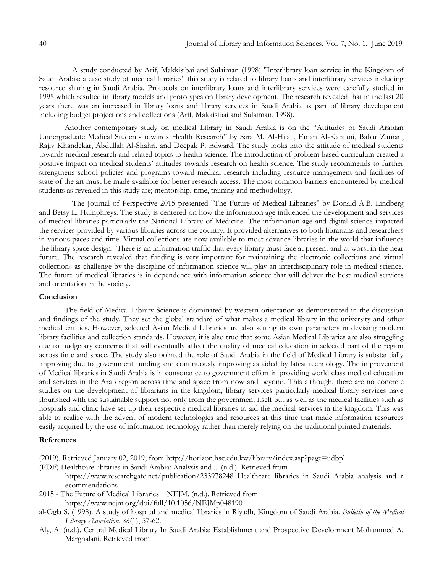A study conducted by Arif, Makkisibai and Sulaiman (1998) "Interlibrary loan service in the Kingdom of Saudi Arabia: a case study of medical libraries" this study is related to library loans and interlibrary services including resource sharing in Saudi Arabia. Protocols on interlibrary loans and interlibrary services were carefully studied in 1995 which resulted in library models and prototypes on library development. The research revealed that in the last 20 years there was an increased in library loans and library services in Saudi Arabia as part of library development including budget projections and collections (Arif, Makkisibai and Sulaiman, 1998).

Another contemporary study on medical Library in Saudi Arabia is on the "Attitudes of Saudi Arabian Undergraduate Medical Students towards Health Research" by Sara M. Al-Hilali, Eman Al-Kahtani, Babar Zaman, Rajiv Khandekar, Abdullah Al-Shahri, and Deepak P. Edward. The study looks into the attitude of medical students towards medical research and related topics to health science. The introduction of problem based curriculum created a positive impact on medical students" attitudes towards research on health science. The study recommends to further strengthens school policies and programs toward medical research including resource management and facilities of state of the art must be made available for better research access. The most common barriers encountered by medical students as revealed in this study are; mentorship, time, training and methodology.

The Journal of Perspective 2015 presented "The Future of Medical Libraries" by Donald A.B. Lindberg and Betsy L. Humphreys. The study is centered on how the information age influenced the development and services of medical libraries particularly the National Library of Medicine. The information age and digital science impacted the services provided by various libraries across the country. It provided alternatives to both librarians and researchers in various paces and time. Virtual collections are now available to most advance libraries in the world that influence the library space design. There is an information traffic that every library must face at present and at worst in the near future. The research revealed that funding is very important for maintaining the electronic collections and virtual collections as challenge by the discipline of information science will play an interdisciplinary role in medical science. The future of medical libraries is in dependence with information science that will deliver the best medical services and orientation in the society.

# **Conclusion**

The field of Medical Library Science is dominated by western orientation as demonstrated in the discussion and findings of the study. They set the global standard of what makes a medical library in the university and other medical entities. However, selected Asian Medical Libraries are also setting its own parameters in devising modern library facilities and collection standards. However, it is also true that some Asian Medical Libraries are also struggling due to budgetary concerns that will eventually affect the quality of medical education in selected part of the region across time and space. The study also pointed the role of Saudi Arabia in the field of Medical Library is substantially improving due to government funding and continuously improving as aided by latest technology. The improvement of Medical libraries in Saudi Arabia is in consonance to government effort in providing world class medical education and services in the Arab region across time and space from now and beyond. This although, there are no concrete studies on the development of librarians in the kingdom, library services particularly medical library services have flourished with the sustainable support not only from the government itself but as well as the medical facilities such as hospitals and clinic have set up their respective medical libraries to aid the medical services in the kingdom. This was able to realize with the advent of modern technologies and resources at this time that made information resources easily acquired by the use of information technology rather than merely relying on the traditional printed materials.

#### **References**

- (2019). Retrieved January 02, 2019, from http://horizon.hsc.edu.kw/library/index.asp?page=udbpl
- (PDF) Healthcare libraries in Saudi Arabia: Analysis and ... (n.d.). Retrieved from https://www.researchgate.net/publication/233978248\_Healthcare\_libraries\_in\_Saudi\_Arabia\_analysis\_and\_r ecommendations
- 2015 The Future of Medical Libraries | NEJM. (n.d.). Retrieved from <https://www.nejm.org/doi/full/10.1056/NEJMp048190>
- al-Ogla S. (1998). A study of hospital and medical libraries in Riyadh, Kingdom of Saudi Arabia. *Bulletin of the Medical Library Association*, *86*(1), 57-62.
- Aly, A. (n.d.). Central Medical Library In Saudi Arabia: Establishment and Prospective Development Mohammed A. Marghalani. Retrieved from